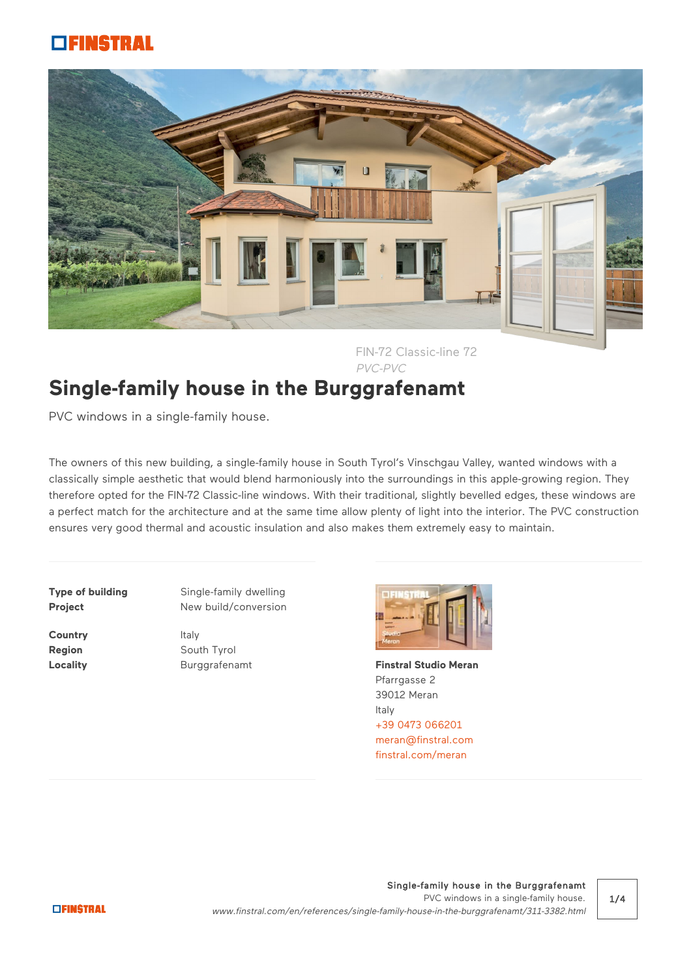## SINGTRAL



FIN-72 Classic-line [72](javascript:%20toggleOverlay() PVC-PVC

## **Single-family house in the Burggrafenamt**

PVC windows in a single-family house.

The owners of this new building, a single-family house in South Tyrol's Vinschgau Valley, wanted windows with a classically simple aesthetic that would blend harmoniously into the surroundings in this apple-growing region. They therefore opted for the FIN-72 Classic-line windows. With their traditional, slightly bevelled edges, these windows are a perfect match for the architecture and at the same time allow plenty of light into the interior. The PVC construction ensures very good thermal and acoustic insulation and also makes them extremely easy to maintain.

**Country** Italy

**Type of building** Single-family dwelling **Project** New build/conversion

**Region** South Tyrol



**Locality Example 3 Burggrafenamt [Finstral Studio Meran](https://www.finstral.com/en/finstral-studio/finstral-studio-meran/54-274.html)** Pfarrgasse 2 39012 Meran Italy [+39 0473 066201](tel:%20+39%200473%20066201) [meran@finstral.com](mailto:meran@finstral.com) [finstral.com/meran](http://finstral.com/meran)

Single-family house in the Burggrafenamt PVC windows in a single-family house. www.finstral.com/en/references/single-family-house-in-the-burggrafenamt/311-3382.html

1/4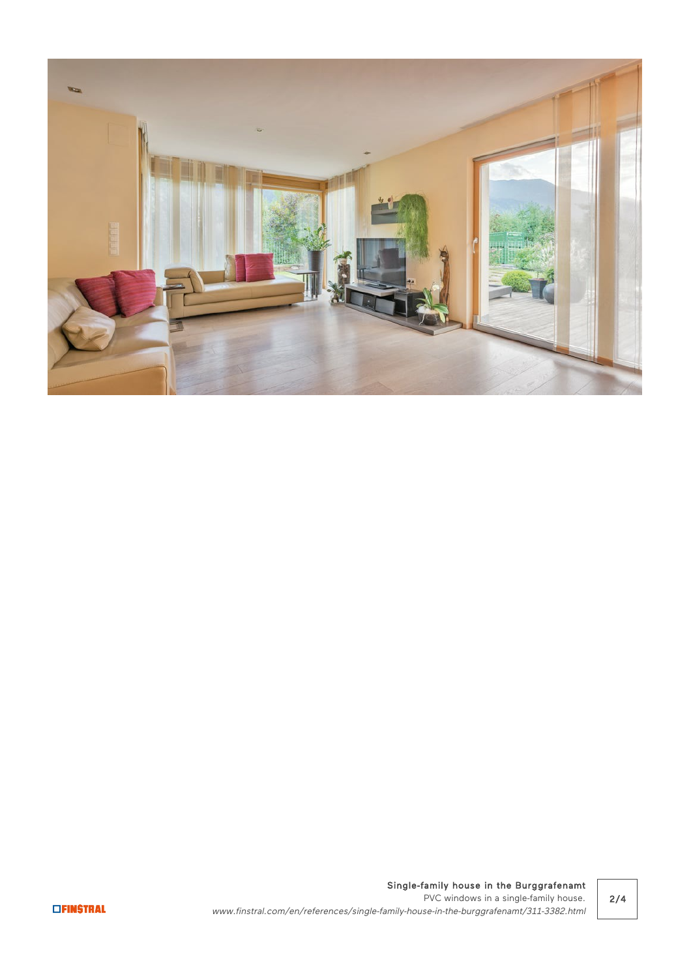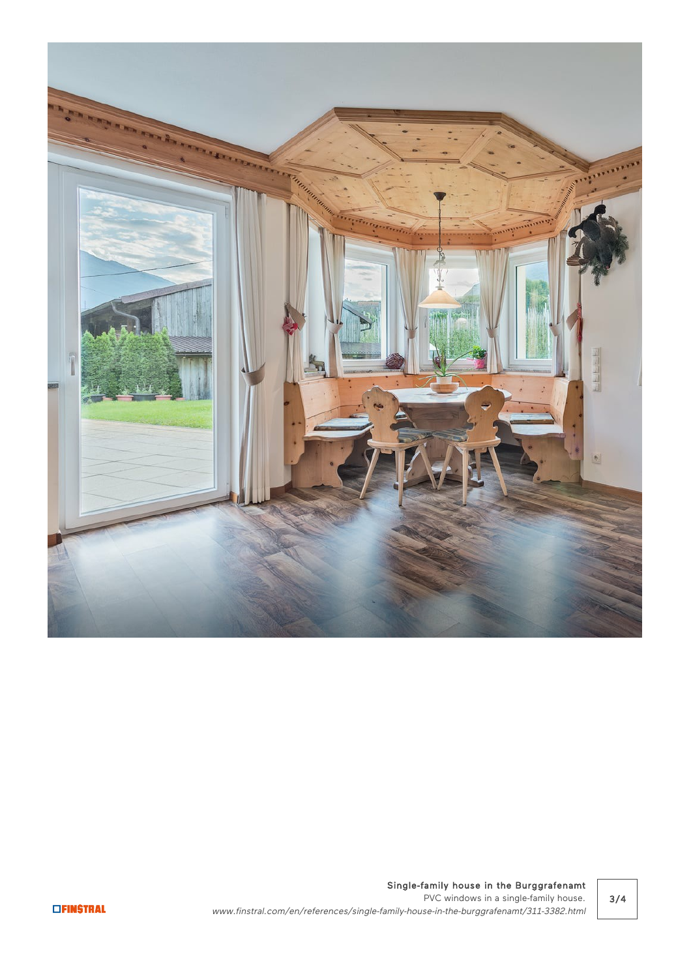

Single-family house in the Burggrafenamt PVC windows in a single-family house. www.finstral.com/en/references/single-family-house-in-the-burggrafenamt/311-3382.html

3/4